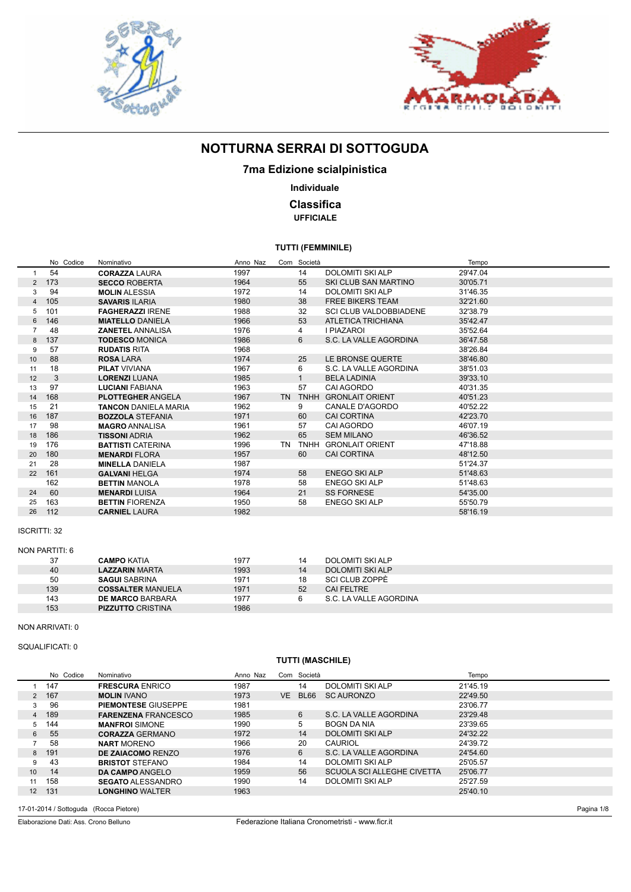



## **7ma Edizione scialpinistica**

### **Individuale**

### **Classifica UFFICIALE**

### **TUTTI (FEMMINILE)**

|                | No Codice | Nominativo                  | Anno Naz |           | Com Società |                               | Tempo    |
|----------------|-----------|-----------------------------|----------|-----------|-------------|-------------------------------|----------|
| 1              | 54        | <b>CORAZZA LAURA</b>        | 1997     |           | 14          | DOLOMITI SKI ALP              | 29'47.04 |
| $\mathbf{2}$   | 173       | <b>SECCO ROBERTA</b>        | 1964     |           | 55          | SKI CLUB SAN MARTINO          | 30'05.71 |
| 3              | 94        | <b>MOLIN ALESSIA</b>        | 1972     |           | 14          | <b>DOLOMITI SKI ALP</b>       | 31'46.35 |
| $\overline{4}$ | 105       | <b>SAVARIS ILARIA</b>       | 1980     |           | 38          | <b>FREE BIKERS TEAM</b>       | 32'21.60 |
| 5              | 101       | <b>FAGHERAZZI IRENE</b>     | 1988     |           | 32          | <b>SCI CLUB VALDOBBIADENE</b> | 32'38.79 |
| 6              | 146       | <b>MIATELLO DANIELA</b>     | 1966     |           | 53          | <b>ATLETICA TRICHIANA</b>     | 35'42.47 |
| $\overline{7}$ | 48        | <b>ZANETEL ANNALISA</b>     | 1976     |           | 4           | I PIAZAROI                    | 35'52.64 |
| 8              | 137       | <b>TODESCO MONICA</b>       | 1986     |           | 6           | S.C. LA VALLE AGORDINA        | 36'47.58 |
| 9              | 57        | <b>RUDATIS RITA</b>         | 1968     |           |             |                               | 38'26.84 |
| 10             | 88        | <b>ROSA LARA</b>            | 1974     |           | 25          | LE BRONSE QUERTE              | 38'46.80 |
| 11             | 18        | <b>PILAT VIVIANA</b>        | 1967     |           | 6           | S.C. LA VALLE AGORDINA        | 38'51.03 |
| 12             | 3         | <b>LORENZI LUANA</b>        | 1985     |           |             | <b>BELA LADINIA</b>           | 39'33.10 |
| 13             | 97        | <b>LUCIANI FABIANA</b>      | 1963     |           | 57          | CAI AGORDO                    | 40'31.35 |
| 14             | 168       | <b>PLOTTEGHER ANGELA</b>    | 1967     | <b>TN</b> | <b>TNHH</b> | <b>GRONLAIT ORIENT</b>        | 40'51.23 |
| 15             | 21        | <b>TANCON DANIELA MARIA</b> | 1962     |           | 9           | <b>CANALE D'AGORDO</b>        | 40'52.22 |
| 16             | 187       | <b>BOZZOLA STEFANIA</b>     | 1971     |           | 60          | <b>CAI CORTINA</b>            | 42'23.70 |
| 17             | 98        | <b>MAGRO ANNALISA</b>       | 1961     |           | 57          | <b>CAI AGORDO</b>             | 46'07.19 |
| 18             | 186       | <b>TISSONI ADRIA</b>        | 1962     |           | 65          | <b>SEM MILANO</b>             | 46'36.52 |
| 19             | 176       | <b>BATTISTI CATERINA</b>    | 1996     |           | TN TNHH     | <b>GRONLAIT ORIENT</b>        | 47'18.88 |
| 20             | 180       | <b>MENARDI FLORA</b>        | 1957     |           | 60          | <b>CAI CORTINA</b>            | 48'12.50 |
| 21             | 28        | <b>MINELLA DANIELA</b>      | 1987     |           |             |                               | 51'24.37 |
| 22             | 161       | <b>GALVANI HELGA</b>        | 1974     |           | 58          | <b>ENEGO SKI ALP</b>          | 51'48.63 |
|                | 162       | <b>BETTIN MANOLA</b>        | 1978     |           | 58          | <b>ENEGO SKI ALP</b>          | 51'48.63 |
| 24             | 60        | <b>MENARDI LUISA</b>        | 1964     |           | 21          | <b>SS FORNESE</b>             | 54'35.00 |
| 25             | 163       | <b>BETTIN FIORENZA</b>      | 1950     |           | 58          | <b>ENEGO SKI ALP</b>          | 55'50.79 |
| 26             | 112       | <b>CARNIEL LAURA</b>        | 1982     |           |             |                               | 58'16.19 |
|                |           |                             |          |           |             |                               |          |

#### ISCRITTI: 32

| NON PARTITI: 6 |                          |      |    |                         |  |  |  |  |  |  |
|----------------|--------------------------|------|----|-------------------------|--|--|--|--|--|--|
| 37             | <b>CAMPO KATIA</b>       | 1977 | 14 | DOLOMITI SKI ALP        |  |  |  |  |  |  |
| 40             | <b>LAZZARIN MARTA</b>    | 1993 | 14 | <b>DOLOMITI SKI ALP</b> |  |  |  |  |  |  |
| 50             | <b>SAGUI SABRINA</b>     | 1971 | 18 | SCI CLUB ZOPPĖ          |  |  |  |  |  |  |
| 139            | <b>COSSALTER MANUELA</b> | 1971 | 52 | CAI FELTRE              |  |  |  |  |  |  |
| 143            | <b>DE MARCO BARBARA</b>  | 1977 |    | S.C. LA VALLE AGORDINA  |  |  |  |  |  |  |
| 153            | <b>PIZZUTTO CRISTINA</b> | 1986 |    |                         |  |  |  |  |  |  |

#### NON ARRIVATI: 0

#### SQUALIFICATI: 0

### **TUTTI (MASCHILE)**

|                | No Codice | Nominativo                 | Anno Naz |    | Com Società |                                   | Tempo    |
|----------------|-----------|----------------------------|----------|----|-------------|-----------------------------------|----------|
|                | 147       | <b>FRESCURA ENRICO</b>     | 1987     |    | 14          | <b>DOLOMITI SKI ALP</b>           | 21'45.19 |
| $\overline{2}$ | 167       | <b>MOLIN IVANO</b>         | 1973     | VE | BL66        | <b>SC AURONZO</b>                 | 22'49.50 |
| 3              | 96        | <b>PIEMONTESE GIUSEPPE</b> | 1981     |    |             |                                   | 23'06.77 |
| 4              | 189       | <b>FARENZENA FRANCESCO</b> | 1985     |    | 6           | S.C. LA VALLE AGORDINA            | 23'29.48 |
| 5              | 144       | <b>MANFROI SIMONE</b>      | 1990     |    | 5           | <b>BOGN DA NIA</b>                | 23'39.65 |
| 6              | 55        | <b>CORAZZA GERMANO</b>     | 1972     |    | 14          | <b>DOLOMITI SKI ALP</b>           | 24'32.22 |
|                | 58        | <b>NART MORENO</b>         | 1966     |    | 20          | CAURIOL                           | 24'39.72 |
| 8              | 191       | <b>DE ZAIACOMO RENZO</b>   | 1976     |    | 6           | S.C. LA VALLE AGORDINA            | 24'54.60 |
| g              | 43        | <b>BRISTOT STEFANO</b>     | 1984     |    | 14          | DOLOMITI SKI ALP                  | 25'05.57 |
| 10             | 14        | DA CAMPO ANGELO            | 1959     |    | 56          | <b>SCUOLA SCI ALLEGHE CIVETTA</b> | 25'06.77 |
|                | 158       | <b>SEGATO ALESSANDRO</b>   | 1990     |    | 14          | <b>DOLOMITI SKI ALP</b>           | 25'27.59 |
| 12             | 131       | <b>LONGHINO WALTER</b>     | 1963     |    |             |                                   | 25'40.10 |
|                |           |                            |          |    |             |                                   |          |

17-01-2014 / Sottoguda (Rocca Pietore)

Elaborazione Dati: Ass. Crono Belluno

Pagina 1/8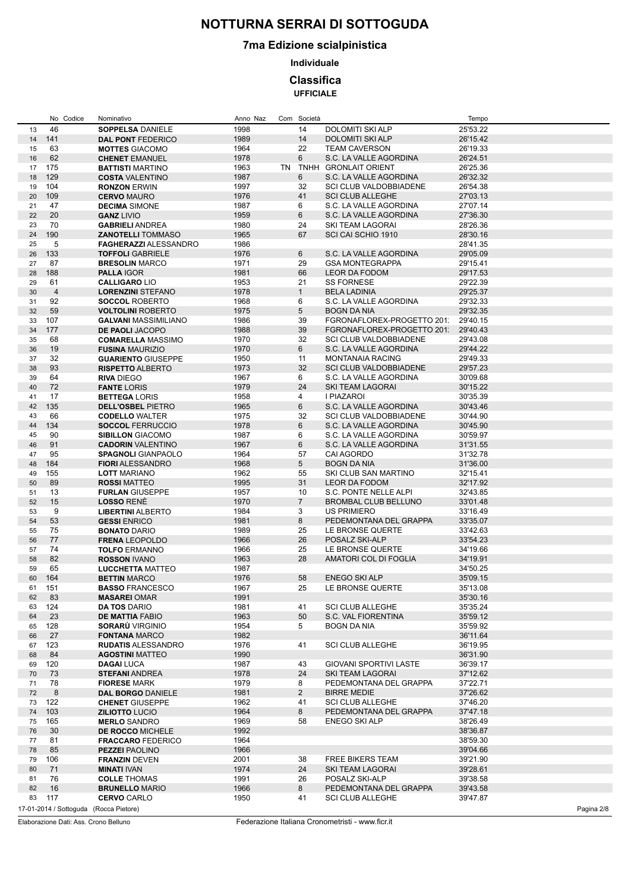## **7ma Edizione scialpinistica**

**Individuale**

### **Classifica**

**UFFICIALE**

|    | No Codice              | Nominativo                   | Anno Naz | Com Società     |                               | Tempo      |
|----|------------------------|------------------------------|----------|-----------------|-------------------------------|------------|
| 13 | 46                     | <b>SOPPELSA DANIELE</b>      | 1998     | 14              | DOLOMITI SKI ALP              | 25'53.22   |
| 14 | 141                    | <b>DAL PONT FEDERICO</b>     | 1989     | 14              | <b>DOLOMITI SKI ALP</b>       | 26'15.42   |
| 15 | 63                     | <b>MOTTES GIACOMO</b>        | 1964     | 22              | <b>TEAM CAVERSON</b>          | 26'19.33   |
| 16 | 62                     | <b>CHENET EMANUEL</b>        | 1978     | 6               | S.C. LA VALLE AGORDINA        | 26'24.51   |
| 17 | 175                    | <b>BATTISTI MARTINO</b>      | 1963     |                 | TN TNHH GRONLAIT ORIENT       | 26'25.36   |
| 18 | 129                    | <b>COSTA VALENTINO</b>       | 1987     | 6               | S.C. LA VALLE AGORDINA        | 26'32.32   |
| 19 | 104                    | <b>RONZON ERWIN</b>          | 1997     | 32              | <b>SCI CLUB VALDOBBIADENE</b> | 26'54.38   |
| 20 | 109                    | <b>CERVO MAURO</b>           | 1976     | 41              | <b>SCI CLUB ALLEGHE</b>       | 27'03.13   |
|    |                        |                              |          |                 |                               |            |
| 21 | 47                     | <b>DECIMA SIMONE</b>         | 1987     | 6               | S.C. LA VALLE AGORDINA        | 27'07.14   |
| 22 | 20                     | <b>GANZ LIVIO</b>            | 1959     | 6               | S.C. LA VALLE AGORDINA        | 27'36.30   |
| 23 | 70                     | <b>GABRIELI ANDREA</b>       | 1980     | 24              | SKI TEAM LAGORAI              | 28'26.36   |
| 24 | 190                    | <b>ZANOTELLI TOMMASO</b>     | 1965     | 67              | SCI CAI SCHIO 1910            | 28'30.16   |
| 25 | 5                      | <b>FAGHERAZZI ALESSANDRO</b> | 1986     |                 |                               | 28'41.35   |
| 26 | 133                    | <b>TOFFOLI GABRIELE</b>      | 1976     | 6               | S.C. LA VALLE AGORDINA        | 29'05.09   |
| 27 | 87                     | <b>BRESOLIN MARCO</b>        | 1971     | 29              | <b>GSA MONTEGRAPPA</b>        | 29'15.41   |
| 28 | 188                    | <b>PALLA IGOR</b>            | 1981     | 66              | <b>LEOR DA FODOM</b>          | 29'17.53   |
| 29 | 61                     | <b>CALLIGARO LIO</b>         | 1953     | 21              | <b>SS FORNESE</b>             | 29'22.39   |
| 30 | $\overline{4}$         | <b>LORENZINI STEFANO</b>     | 1978     | $\mathbf{1}$    | <b>BELA LADINIA</b>           | 29'25.37   |
| 31 | 92                     | <b>SOCCOL ROBERTO</b>        | 1968     | 6               | S.C. LA VALLE AGORDINA        | 29'32.33   |
| 32 | 59                     | <b>VOLTOLINI ROBERTO</b>     | 1975     | 5               | <b>BOGN DA NIA</b>            | 29'32.35   |
| 33 | 107                    | <b>GALVANI MASSIMILIANO</b>  | 1986     | 39              | FGRONAFLOREX-PROGETTO 201     | 29'40.15   |
| 34 | 177                    | <b>DE PAOLI JACOPO</b>       | 1988     | 39              | FGRONAFLOREX-PROGETTO 201     | 29'40.43   |
| 35 | 68                     | <b>COMARELLA MASSIMO</b>     | 1970     | 32              | <b>SCI CLUB VALDOBBIADENE</b> | 29'43.08   |
|    | 19                     | <b>FUSINA MAURIZIO</b>       |          | 6               | S.C. LA VALLE AGORDINA        | 29'44.22   |
| 36 |                        |                              | 1970     |                 |                               |            |
| 37 | 32                     | <b>GUARIENTO GIUSEPPE</b>    | 1950     | 11              | <b>MONTANAIA RACING</b>       | 29'49.33   |
| 38 | 93                     | <b>RISPETTO ALBERTO</b>      | 1973     | 32              | <b>SCI CLUB VALDOBBIADENE</b> | 29'57.23   |
| 39 | 64                     | <b>RIVA DIEGO</b>            | 1967     | 6               | S.C. LA VALLE AGORDINA        | 30'09.68   |
| 40 | 72                     | <b>FANTE LORIS</b>           | 1979     | 24              | <b>SKI TEAM LAGORAI</b>       | 30'15.22   |
| 41 | 17                     | <b>BETTEGA LORIS</b>         | 1958     | 4               | I PIAZAROI                    | 30'35.39   |
| 42 | 135                    | <b>DELL'OSBEL PIETRO</b>     | 1965     | 6               | S.C. LA VALLE AGORDINA        | 30'43.46   |
| 43 | 66                     | <b>CODELLO WALTER</b>        | 1975     | 32              | <b>SCI CLUB VALDOBBIADENE</b> | 30'44.90   |
| 44 | 134                    | <b>SOCCOL FERRUCCIO</b>      | 1978     | 6               | S.C. LA VALLE AGORDINA        | 30'45.90   |
| 45 | 90                     | <b>SIBILLON GIACOMO</b>      | 1987     | 6               | S.C. LA VALLE AGORDINA        | 30'59.97   |
| 46 | 91                     | <b>CADORIN VALENTINO</b>     | 1967     | 6               | S.C. LA VALLE AGORDINA        | 31'31.55   |
| 47 | 95                     | <b>SPAGNOLI GIANPAOLO</b>    | 1964     | 57              | CAI AGORDO                    | 31'32.78   |
| 48 | 184                    | <b>FIORI ALESSANDRO</b>      | 1968     | $5\overline{)}$ | <b>BOGN DA NIA</b>            | 31'36.00   |
| 49 | 155                    | <b>LOTT MARIANO</b>          | 1962     | 55              | SKI CLUB SAN MARTINO          | 32'15.41   |
| 50 | 89                     | <b>ROSSI MATTEO</b>          | 1995     | 31              | LEOR DA FODOM                 | 32'17.92   |
|    |                        |                              | 1957     | 10              | S.C. PONTE NELLE ALPI         |            |
| 51 | 13                     | <b>FURLAN GIUSEPPE</b>       |          |                 |                               | 32'43.85   |
| 52 | 15                     | <b>LOSSO RENÉ</b>            | 1970     | $\overline{7}$  | <b>BROMBAL CLUB BELLUNO</b>   | 33'01.48   |
| 53 | 9                      | <b>LIBERTINI ALBERTO</b>     | 1984     | 3               | <b>US PRIMIERO</b>            | 33'16.49   |
| 54 | 53                     | <b>GESSI ENRICO</b>          | 1981     | 8               | PEDEMONTANA DEL GRAPPA        | 33'35.07   |
| 55 | 75                     | <b>BONATO DARIO</b>          | 1989     | 25              | LE BRONSE QUERTE              | 33'42.63   |
| 56 | 77                     | <b>FRENA LEOPOLDO</b>        | 1966     | 26              | POSALZ SKI-ALP                | 33'54.23   |
| 57 | 74                     | <b>TOLFO ERMANNO</b>         | 1966     | 25              | LE BRONSE QUERTE              | 34'19.66   |
| 58 | 82                     | <b>ROSSON IVANO</b>          | 1963     | 28              | AMATORI COL DI FOGLIA         | 34'19.91   |
| 59 | 65                     | <b>LUCCHETTA MATTEO</b>      | 1987     |                 |                               | 34'50.25   |
| 60 | 164                    | <b>BETTIN MARCO</b>          | 1976     | 58              | <b>ENEGO SKI ALP</b>          | 35'09.15   |
| 61 | 151                    | <b>BASSO FRANCESCO</b>       | 1967     | 25              | LE BRONSE QUERTE              | 35'13.08   |
| 62 | 83                     | <b>MASAREI OMAR</b>          | 1991     |                 |                               | 35'30.16   |
| 63 | 124                    | <b>DA TOS DARIO</b>          | 1981     | 41              | <b>SCI CLUB ALLEGHE</b>       | 35'35.24   |
| 64 | 23                     | <b>DE MATTIA FABIO</b>       | 1963     | 50              | S.C. VAL FIORENTINA           | 35'59.12   |
| 65 | 128                    | <b>SORARÜ VIRGINIO</b>       | 1954     | 5               | BOGN DA NIA                   | 35'59.92   |
| 66 | 27                     | <b>FONTANA MARCO</b>         | 1982     |                 |                               | 36'11.64   |
| 67 | 123                    | <b>RUDATIS ALESSANDRO</b>    | 1976     | 41              | <b>SCI CLUB ALLEGHE</b>       | 36'19.95   |
|    |                        |                              |          |                 |                               |            |
| 68 | 84                     | <b>AGOSTINI MATTEO</b>       | 1990     |                 |                               | 36'31.90   |
| 69 | 120                    | <b>DAGAI LUCA</b>            | 1987     | 43              | <b>GIOVANI SPORTIVI LASTE</b> | 36'39.17   |
| 70 | 73                     | <b>STEFANI ANDREA</b>        | 1978     | 24              | SKI TEAM LAGORAI              | 37'12.62   |
| 71 | 78                     | <b>FIORESE MARK</b>          | 1979     | 8               | PEDEMONTANA DEL GRAPPA        | 37'22.71   |
| 72 | 8                      | DAL BORGO DANIELE            | 1981     | $\overline{2}$  | <b>BIRRE MEDIE</b>            | 37'26.62   |
| 73 | 122                    | <b>CHENET GIUSEPPE</b>       | 1962     | 41              | <b>SCI CLUB ALLEGHE</b>       | 37'46.20   |
| 74 | 103                    | <b>ZILIOTTO LUCIO</b>        | 1964     | 8               | PEDEMONTANA DEL GRAPPA        | 37'47.18   |
| 75 | 165                    | <b>MERLO SANDRO</b>          | 1969     | 58              | ENEGO SKI ALP                 | 38'26.49   |
| 76 | 30                     | DE ROCCO MICHELE             | 1992     |                 |                               | 38'36.87   |
| 77 | 81                     | <b>FRACCARO FEDERICO</b>     | 1964     |                 |                               | 38'59.30   |
| 78 | 85                     | <b>PEZZEI PAOLINO</b>        | 1966     |                 |                               | 39'04.66   |
| 79 | 106                    | <b>FRANZIN DEVEN</b>         | 2001     | 38              | FREE BIKERS TEAM              | 39'21.90   |
| 80 | 71                     | <b>MINATI IVAN</b>           | 1974     | 24              | SKI TEAM LAGORAI              | 39'28.61   |
| 81 | 76                     | <b>COLLE THOMAS</b>          | 1991     | 26              | POSALZ SKI-ALP                | 39'38.58   |
| 82 | 16                     | <b>BRUNELLO MARIO</b>        | 1966     | 8               | PEDEMONTANA DEL GRAPPA        | 39'43.58   |
| 83 | 117                    |                              | 1950     | 41              | <b>SCI CLUB ALLEGHE</b>       |            |
|    |                        | <b>CERVO CARLO</b>           |          |                 |                               | 39'47.87   |
|    | 17-01-2014 / Sottoguda | (Rocca Pietore)              |          |                 |                               | Pagina 2/8 |

Elaborazione Dati: Ass. Crono Belluno

Federazione Italiana Cronometristi - www.ficr.it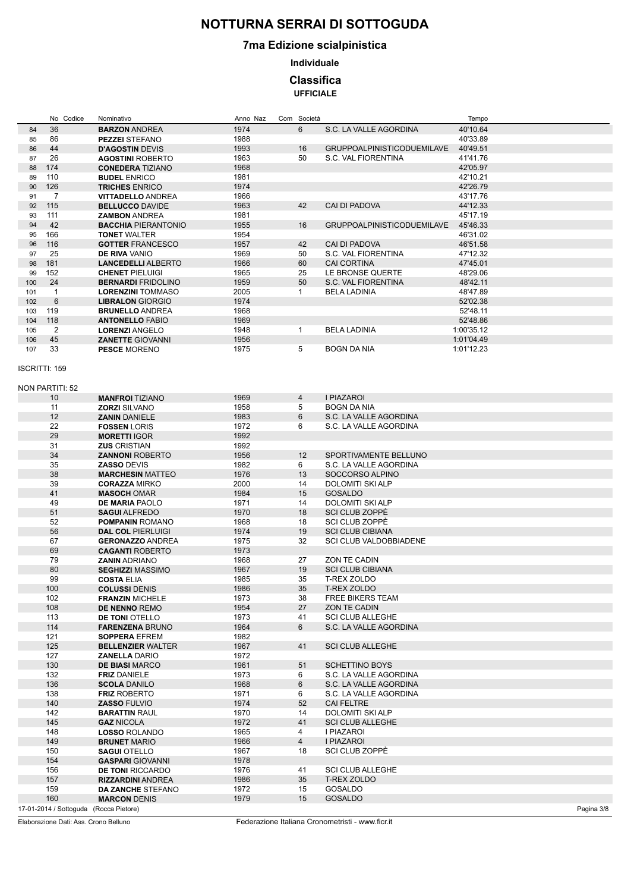## **7ma Edizione scialpinistica**

**Individuale**

### **Classifica**

**UFFICIALE**

|                      |                | No Codice              | Nominativo                 | Anno Naz | Com Società    |                                   | Tempo      |            |
|----------------------|----------------|------------------------|----------------------------|----------|----------------|-----------------------------------|------------|------------|
| 84                   | 36             |                        | <b>BARZON ANDREA</b>       | 1974     | 6              | S.C. LA VALLE AGORDINA            | 40'10.64   |            |
| 85                   | 86             |                        | <b>PEZZEI STEFANO</b>      | 1988     |                |                                   | 40'33.89   |            |
| 86                   | 44             |                        | <b>D'AGOSTIN DEVIS</b>     | 1993     | 16             | <b>GRUPPOALPINISTICODUEMILAVE</b> | 40'49.51   |            |
| 87                   | 26             |                        | <b>AGOSTINI ROBERTO</b>    | 1963     | 50             | S.C. VAL FIORENTINA               | 41'41.76   |            |
| 88                   | 174            |                        | <b>CONEDERA TIZIANO</b>    | 1968     |                |                                   | 42'05.97   |            |
| 89                   | 110            |                        | <b>BUDEL ENRICO</b>        | 1981     |                |                                   | 42'10.21   |            |
| 90                   | 126            |                        | <b>TRICHES ENRICO</b>      | 1974     |                |                                   | 42'26.79   |            |
| 91                   | $\overline{7}$ |                        | <b>VITTADELLO ANDREA</b>   | 1966     |                |                                   | 43'17.76   |            |
| 92                   | 115            |                        | <b>BELLUCCO DAVIDE</b>     | 1963     | 42             | <b>CAI DI PADOVA</b>              | 44'12.33   |            |
| 93                   | 111            |                        | <b>ZAMBON ANDREA</b>       | 1981     |                |                                   | 45'17.19   |            |
| 94                   | 42             |                        | <b>BACCHIA PIERANTONIO</b> | 1955     | 16             | <b>GRUPPOALPINISTICODUEMILAVE</b> | 45'46.33   |            |
| 95                   | 166            |                        | <b>TONET WALTER</b>        | 1954     |                |                                   | 46'31.02   |            |
| 96                   | 116            |                        | <b>GOTTER FRANCESCO</b>    | 1957     | 42             | CAI DI PADOVA                     | 46'51.58   |            |
| 97                   | 25             |                        | <b>DE RIVA VANIO</b>       | 1969     | 50             | S.C. VAL FIORENTINA               | 47'12.32   |            |
| 98                   | 181            |                        | <b>LANCEDELLI ALBERTO</b>  | 1966     | 60             | <b>CAI CORTINA</b>                | 47'45.01   |            |
| 99                   | 152            |                        | <b>CHENET PIELUIGI</b>     | 1965     | 25             | LE BRONSE QUERTE                  | 48'29.06   |            |
| 100                  | 24             |                        | <b>BERNARDI FRIDOLINO</b>  | 1959     | 50             | S.C. VAL FIORENTINA               | 48'42.11   |            |
|                      |                |                        |                            |          | $\mathbf{1}$   |                                   |            |            |
| 101                  | $\overline{1}$ |                        | <b>LORENZINI TOMMASO</b>   | 2005     |                | <b>BELA LADINIA</b>               | 48'47.89   |            |
| 102                  | 6              |                        | <b>LIBRALON GIORGIO</b>    | 1974     |                |                                   | 52'02.38   |            |
| 103                  | 119            |                        | <b>BRUNELLO ANDREA</b>     | 1968     |                |                                   | 52'48.11   |            |
| 104                  | 118            |                        | <b>ANTONELLO FABIO</b>     | 1969     |                |                                   | 52'48.86   |            |
| 105                  | $\overline{2}$ |                        | <b>LORENZI ANGELO</b>      | 1948     | $\mathbf{1}$   | <b>BELA LADINIA</b>               | 1:00'35.12 |            |
| 106                  | 45             |                        | <b>ZANETTE GIOVANNI</b>    | 1956     |                |                                   | 1:01'04.49 |            |
| 107                  | 33             |                        | <b>PESCE MORENO</b>        | 1975     | 5              | <b>BOGN DA NIA</b>                | 1:01'12.23 |            |
|                      |                |                        |                            |          |                |                                   |            |            |
| <b>ISCRITTI: 159</b> |                |                        |                            |          |                |                                   |            |            |
|                      |                |                        |                            |          |                |                                   |            |            |
| NON PARTITI: 52      |                |                        |                            |          |                |                                   |            |            |
|                      | 10             |                        | <b>MANFROI TIZIANO</b>     | 1969     | 4              | I PIAZAROI                        |            |            |
|                      | 11             |                        | <b>ZORZI SILVANO</b>       | 1958     | 5              | <b>BOGN DA NIA</b>                |            |            |
|                      | 12             |                        | <b>ZANIN DANIELE</b>       | 1983     | 6              | S.C. LA VALLE AGORDINA            |            |            |
|                      | 22             |                        | <b>FOSSEN LORIS</b>        | 1972     | 6              | S.C. LA VALLE AGORDINA            |            |            |
|                      | 29             |                        | <b>MORETTI IGOR</b>        | 1992     |                |                                   |            |            |
|                      | 31             |                        | <b>ZUS CRISTIAN</b>        | 1992     |                |                                   |            |            |
|                      | 34             |                        | <b>ZANNONI ROBERTO</b>     | 1956     | 12             | SPORTIVAMENTE BELLUNO             |            |            |
|                      | 35             |                        | <b>ZASSO DEVIS</b>         | 1982     | 6              | S.C. LA VALLE AGORDINA            |            |            |
|                      | 38             |                        | <b>MARCHESIN MATTEO</b>    | 1976     | 13             | SOCCORSO ALPINO                   |            |            |
|                      | 39             |                        | <b>CORAZZA MIRKO</b>       | 2000     | 14             | <b>DOLOMITI SKI ALP</b>           |            |            |
|                      | 41             |                        | <b>MASOCH OMAR</b>         | 1984     | 15             | <b>GOSALDO</b>                    |            |            |
|                      | 49             |                        | <b>DE MARIA PAOLO</b>      | 1971     | 14             | <b>DOLOMITI SKI ALP</b>           |            |            |
|                      | 51             |                        | <b>SAGUI ALFREDO</b>       | 1970     | 18             | SCI CLUB ZOPPĖ                    |            |            |
|                      |                |                        |                            |          |                |                                   |            |            |
|                      | 52             |                        | <b>POMPANIN ROMANO</b>     | 1968     | 18             | <b>SCI CLUB ZOPPÉ</b>             |            |            |
|                      | 56             |                        | <b>DAL COL PIERLUIGI</b>   | 1974     | 19             | <b>SCI CLUB CIBIANA</b>           |            |            |
|                      | 67             |                        | <b>GERONAZZO ANDREA</b>    | 1975     | 32             | <b>SCI CLUB VALDOBBIADENE</b>     |            |            |
|                      | 69             |                        | <b>CAGANTI ROBERTO</b>     | 1973     |                |                                   |            |            |
|                      | 79             |                        | <b>ZANIN ADRIANO</b>       | 1968     | 27             | ZON TE CADIN                      |            |            |
|                      | 80             |                        | <b>SEGHIZZI MASSIMO</b>    | 1967     | 19             | <b>SCI CLUB CIBIANA</b>           |            |            |
|                      | 99             |                        | <b>COSTA ELIA</b>          | 1985     | 35             | T-REX ZOLDO                       |            |            |
|                      | 100            |                        | <b>COLUSSI DENIS</b>       | 1986     | 35             | T-REX ZOLDO                       |            |            |
|                      | 102            |                        | <b>FRANZIN MICHELE</b>     | 1973     | 38             | <b>FREE BIKERS TEAM</b>           |            |            |
|                      | 108            |                        | DE NENNO REMO              | 1954     | 27             | ZON TE CADIN                      |            |            |
|                      | 113            |                        | <b>DE TONI OTELLO</b>      | 1973     | 41             | <b>SCI CLUB ALLEGHE</b>           |            |            |
|                      | 114            |                        | <b>FARENZENA BRUNO</b>     | 1964     | 6              | S.C. LA VALLE AGORDINA            |            |            |
|                      | 121            |                        | <b>SOPPERA EFREM</b>       | 1982     |                |                                   |            |            |
|                      | 125            |                        | <b>BELLENZIER WALTER</b>   | 1967     | 41             | <b>SCI CLUB ALLEGHE</b>           |            |            |
|                      | 127            |                        | <b>ZANELLA DARIO</b>       | 1972     |                |                                   |            |            |
|                      | 130            |                        | <b>DE BIASI MARCO</b>      | 1961     | 51             | <b>SCHETTINO BOYS</b>             |            |            |
|                      | 132            |                        | <b>FRIZ DANIELE</b>        | 1973     | 6              | S.C. LA VALLE AGORDINA            |            |            |
|                      | 136            |                        | <b>SCOLA DANILO</b>        | 1968     | 6              | S.C. LA VALLE AGORDINA            |            |            |
|                      | 138            |                        | <b>FRIZ ROBERTO</b>        | 1971     | 6              | S.C. LA VALLE AGORDINA            |            |            |
|                      | 140            |                        | <b>ZASSO FULVIO</b>        | 1974     | 52             | <b>CAI FELTRE</b>                 |            |            |
|                      | 142            |                        | <b>BARATTIN RAUL</b>       | 1970     | 14             | DOLOMITI SKI ALP                  |            |            |
|                      | 145            |                        | <b>GAZ NICOLA</b>          | 1972     | 41             | <b>SCI CLUB ALLEGHE</b>           |            |            |
|                      | 148            |                        | <b>LOSSO ROLANDO</b>       | 1965     | 4              | I PIAZAROI                        |            |            |
|                      | 149            |                        | <b>BRUNET MARIO</b>        | 1966     | $\overline{4}$ | I PIAZAROI                        |            |            |
|                      | 150            |                        | <b>SAGUI OTELLO</b>        | 1967     | 18             | SCI CLUB ZOPPĖ                    |            |            |
|                      | 154            |                        | <b>GASPARI GIOVANNI</b>    | 1978     |                |                                   |            |            |
|                      | 156            |                        | <b>DE TONI RICCARDO</b>    | 1976     | 41             | <b>SCI CLUB ALLEGHE</b>           |            |            |
|                      | 157            |                        | <b>RIZZARDINI ANDREA</b>   | 1986     | 35             | T-REX ZOLDO                       |            |            |
|                      | 159            |                        | DA ZANCHE STEFANO          | 1972     | 15             | GOSALDO                           |            |            |
|                      | 160            |                        | <b>MARCON DENIS</b>        | 1979     | 15             | <b>GOSALDO</b>                    |            |            |
|                      |                | 17-01-2014 / Sottoguda | (Rocca Pietore)            |          |                |                                   |            | Pagina 3/8 |
|                      |                |                        |                            |          |                |                                   |            |            |

Elaborazione Dati: Ass. Crono Belluno

Federazione Italiana Cronometristi - www.ficr.it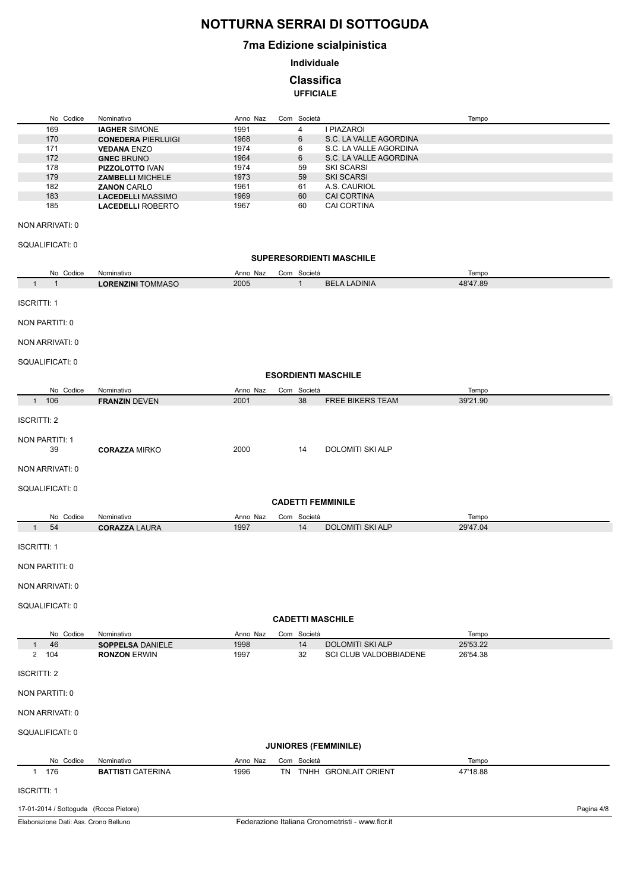### **7ma Edizione scialpinistica**

**Individuale**

**Classifica**

**UFFICIALE**

| No Codice                    | Nominativo                                     | Anno Naz         | Com Società    |                                    | Tempo    |
|------------------------------|------------------------------------------------|------------------|----------------|------------------------------------|----------|
| 169                          | <b>IAGHER SIMONE</b>                           | 1991             | $\overline{4}$ | I PIAZAROI                         |          |
| 170                          | <b>CONEDERA PIERLUIGI</b>                      | 1968             | 6              | S.C. LA VALLE AGORDINA             |          |
| 171                          | <b>VEDANA ENZO</b>                             | 1974             | 6              | S.C. LA VALLE AGORDINA             |          |
| 172                          | <b>GNEC BRUNO</b>                              | 1964             | 6              | S.C. LA VALLE AGORDINA             |          |
| 178                          | <b>PIZZOLOTTO IVAN</b>                         | 1974             | 59             | <b>SKI SCARSI</b>                  |          |
| 179                          | <b>ZAMBELLI MICHELE</b>                        | 1973             | 59             | <b>SKI SCARSI</b>                  |          |
| 182<br>183                   | <b>ZANON CARLO</b><br><b>LACEDELLI MASSIMO</b> | 1961             | 61<br>60       | A.S. CAURIOL<br><b>CAI CORTINA</b> |          |
| 185                          | <b>LACEDELLI ROBERTO</b>                       | 1969<br>1967     | 60             | <b>CAI CORTINA</b>                 |          |
| NON ARRIVATI: 0              |                                                |                  |                |                                    |          |
| SQUALIFICATI: 0              |                                                |                  |                |                                    |          |
|                              |                                                |                  |                | <b>SUPERESORDIENTI MASCHILE</b>    |          |
| No Codice                    | Nominativo                                     | Anno Naz         | Com Società    |                                    | Tempo    |
| $\mathbf{1}$<br>$\mathbf{1}$ | <b>LORENZINI TOMMASO</b>                       | 2005             | $\mathbf{1}$   | <b>BELA LADINIA</b>                | 48'47.89 |
| <b>ISCRITTI: 1</b>           |                                                |                  |                |                                    |          |
| NON PARTITI: 0               |                                                |                  |                |                                    |          |
| NON ARRIVATI: 0              |                                                |                  |                |                                    |          |
| SQUALIFICATI: 0              |                                                |                  |                |                                    |          |
|                              |                                                |                  |                | <b>ESORDIENTI MASCHILE</b>         |          |
| No Codice                    | Nominativo                                     | Anno Naz         | Com Società    |                                    | Tempo    |
| 1 106                        | <b>FRANZIN DEVEN</b>                           | 2001             | 38             | <b>FREE BIKERS TEAM</b>            | 39'21.90 |
|                              |                                                |                  |                |                                    |          |
| <b>ISCRITTI: 2</b>           |                                                |                  |                |                                    |          |
| NON PARTITI: 1<br>39         | <b>CORAZZA MIRKO</b>                           | 2000             | 14             | <b>DOLOMITI SKI ALP</b>            |          |
| NON ARRIVATI: 0              |                                                |                  |                |                                    |          |
| SQUALIFICATI: 0              |                                                |                  |                |                                    |          |
|                              |                                                |                  |                | <b>CADETTI FEMMINILE</b>           |          |
| No Codice                    | Nominativo                                     | Anno Naz         | Com Società    |                                    | Tempo    |
| 54<br>$\mathbf{1}$           | <b>CORAZZA LAURA</b>                           | 1997             | 14             | <b>DOLOMITI SKI ALP</b>            | 29'47.04 |
|                              |                                                |                  |                |                                    |          |
| <b>ISCRITTI: 1</b>           |                                                |                  |                |                                    |          |
| NON PARTITI: 0               |                                                |                  |                |                                    |          |
| NON ARRIVATI: 0              |                                                |                  |                |                                    |          |
| SQUALIFICATI: 0              |                                                |                  |                |                                    |          |
|                              |                                                |                  |                | <b>CADETTI MASCHILE</b>            |          |
| No Codice                    | Nominativo                                     |                  | Com Società    |                                    | Tempo    |
| 46<br>$\mathbf{1}$           | <b>SOPPELSA DANIELE</b>                        | Anno Naz<br>1998 | 14             | <b>DOLOMITI SKI ALP</b>            | 25'53.22 |
| 2 104                        | <b>RONZON ERWIN</b>                            | 1997             | 32             | SCI CLUB VALDOBBIADENE             | 26'54.38 |
| <b>ISCRITTI: 2</b>           |                                                |                  |                |                                    |          |
| NON PARTITI: 0               |                                                |                  |                |                                    |          |
| NON ARRIVATI: 0              |                                                |                  |                |                                    |          |
| SQUALIFICATI: 0              |                                                |                  |                | <b>JUNIORES (FEMMINILE)</b>        |          |
|                              |                                                |                  |                |                                    |          |
| No Codice                    | Nominativo                                     | Anno Naz         | Com Società    |                                    | Tempo    |
| 1 176                        | <b>BATTISTI CATERINA</b>                       | 1996             |                | TN TNHH GRONLAIT ORIENT            | 47'18.88 |
| <b>ISCRITTI: 1</b>           |                                                |                  |                |                                    |          |

#### 17-01-2014 / Sottoguda (Rocca Pietore)

Elaborazione Dati: Ass. Crono Belluno

Pagina 4/8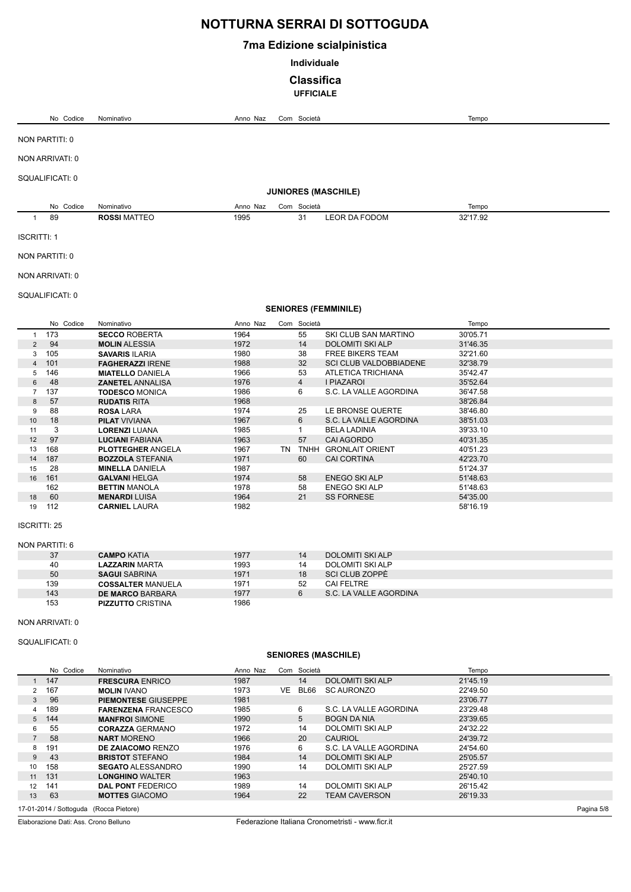### **7ma Edizione scialpinistica**

**Individuale**

### **Classifica**

**UFFICIALE**

|                     | No Codice             | Nominativo                                     | Anno Naz     |    | Com Società       |                                          | Tempo                |  |
|---------------------|-----------------------|------------------------------------------------|--------------|----|-------------------|------------------------------------------|----------------------|--|
|                     | NON PARTITI: 0        |                                                |              |    |                   |                                          |                      |  |
|                     | NON ARRIVATI: 0       |                                                |              |    |                   |                                          |                      |  |
|                     |                       |                                                |              |    |                   |                                          |                      |  |
|                     | SQUALIFICATI: 0       |                                                |              |    |                   |                                          |                      |  |
|                     |                       |                                                |              |    |                   | <b>JUNIORES (MASCHILE)</b>               |                      |  |
|                     | No Codice             | Nominativo                                     | Anno Naz     |    | Com Società       |                                          | Tempo                |  |
| $\mathbf{1}$        | 89                    | <b>ROSSI MATTEO</b>                            | 1995         |    | 31                | LEOR DA FODOM                            | 32'17.92             |  |
| <b>ISCRITTI: 1</b>  |                       |                                                |              |    |                   |                                          |                      |  |
|                     | NON PARTITI: 0        |                                                |              |    |                   |                                          |                      |  |
|                     | NON ARRIVATI: 0       |                                                |              |    |                   |                                          |                      |  |
|                     | SQUALIFICATI: 0       |                                                |              |    |                   |                                          |                      |  |
|                     |                       |                                                |              |    |                   | <b>SENIORES (FEMMINILE)</b>              |                      |  |
|                     | No Codice             | Nominativo                                     | Anno Naz     |    | Com Società       |                                          | Tempo                |  |
| $\mathbf{1}$        | 173                   | <b>SECCO ROBERTA</b>                           | 1964         |    | 55                | SKI CLUB SAN MARTINO                     | 30'05.71             |  |
| $\overline{2}$      | 94                    | <b>MOLIN ALESSIA</b>                           | 1972         |    | 14                | <b>DOLOMITI SKI ALP</b>                  | 31'46.35             |  |
| 3                   | 105                   | <b>SAVARIS ILARIA</b>                          | 1980         |    | 38                | <b>FREE BIKERS TEAM</b>                  | 32'21.60             |  |
| 4                   | 101                   | <b>FAGHERAZZI IRENE</b>                        | 1988         |    | 32                | <b>SCI CLUB VALDOBBIADENE</b>            | 32'38.79             |  |
| 5                   | 146                   | <b>MIATELLO DANIELA</b>                        | 1966         |    | 53                | ATLETICA TRICHIANA                       | 35'42.47             |  |
| 6                   | 48                    | <b>ZANETEL ANNALISA</b>                        | 1976         |    | $\overline{4}$    | <b>I PIAZAROI</b>                        | 35'52.64             |  |
| $\overline{7}$      | 137                   | <b>TODESCO MONICA</b>                          | 1986         |    | 6                 | S.C. LA VALLE AGORDINA                   | 36'47.58             |  |
| 8                   | 57                    | <b>RUDATIS RITA</b>                            | 1968         |    |                   |                                          | 38'26.84             |  |
| 9                   | 88                    | <b>ROSA LARA</b>                               | 1974         |    | 25                | LE BRONSE QUERTE                         | 38'46.80             |  |
| 10                  | 18                    | <b>PILAT VIVIANA</b>                           | 1967         |    | 6<br>$\mathbf{1}$ | S.C. LA VALLE AGORDINA                   | 38'51.03             |  |
| 11<br>12            | 3<br>97               | <b>LORENZI LUANA</b><br><b>LUCIANI FABIANA</b> | 1985<br>1963 |    | 57                | <b>BELA LADINIA</b><br><b>CAI AGORDO</b> | 39'33.10<br>40'31.35 |  |
| 13                  | 168                   | <b>PLOTTEGHER ANGELA</b>                       | 1967         |    |                   | TN TNHH GRONLAIT ORIENT                  | 40'51.23             |  |
| 14                  | 187                   | <b>BOZZOLA STEFANIA</b>                        | 1971         |    | 60                | <b>CAI CORTINA</b>                       | 42'23.70             |  |
| 15                  | 28                    | <b>MINELLA DANIELA</b>                         | 1987         |    |                   |                                          | 51'24.37             |  |
| 16                  | 161                   | <b>GALVANI HELGA</b>                           | 1974         |    | 58                | <b>ENEGO SKI ALP</b>                     | 51'48.63             |  |
|                     | 162                   | <b>BETTIN MANOLA</b>                           | 1978         |    | 58                | <b>ENEGO SKI ALP</b>                     | 51'48.63             |  |
| 18                  | 60                    | <b>MENARDI LUISA</b>                           | 1964         |    | 21                | <b>SS FORNESE</b>                        | 54'35.00             |  |
| 19                  | 112                   | <b>CARNIEL LAURA</b>                           | 1982         |    |                   |                                          | 58'16.19             |  |
| <b>ISCRITTI: 25</b> |                       |                                                |              |    |                   |                                          |                      |  |
|                     | <b>NON PARTITI: 6</b> |                                                |              |    |                   |                                          |                      |  |
|                     | 37                    | <b>CAMPO KATIA</b>                             | 1977         |    | 14                | <b>DOLOMITI SKI ALP</b>                  |                      |  |
|                     | 40                    | <b>LAZZARIN MARTA</b>                          | 1993         |    | 14                | DOLOMITI SKI ALP                         |                      |  |
|                     | 50                    | <b>SAGUI SABRINA</b>                           | 1971         |    | 18                | <b>SCI CLUB ZOPPE</b>                    |                      |  |
|                     | 139                   | <b>COSSALTER MANUELA</b>                       | 1971         |    | 52                | <b>CAI FELTRE</b>                        |                      |  |
|                     | 143                   | <b>DE MARCO BARBARA</b>                        | 1977         |    | 6                 | S.C. LA VALLE AGORDINA                   |                      |  |
|                     | 153                   | <b>PIZZUTTO CRISTINA</b>                       | 1986         |    |                   |                                          |                      |  |
|                     | NON ARRIVATI: 0       |                                                |              |    |                   |                                          |                      |  |
|                     | SQUALIFICATI: 0       |                                                |              |    |                   |                                          |                      |  |
|                     |                       |                                                |              |    |                   | <b>SENIORES (MASCHILE)</b>               |                      |  |
|                     | No Codice             | Nominativo                                     | Anno Naz     |    | Com Società       |                                          | Tempo                |  |
|                     | 147                   |                                                | 1987         |    | 14                |                                          |                      |  |
| 1<br>$\overline{2}$ | 167                   | <b>FRESCURA ENRICO</b><br><b>MOLIN IVANO</b>   | 1973         | VE | BL66              | DOLOMITI SKI ALP<br><b>SC AURONZO</b>    | 21'45.19<br>22'49.50 |  |
| 3                   | 96                    | <b>PIEMONTESE GIUSEPPE</b>                     | 1981         |    |                   |                                          | 23'06.77             |  |
| 4                   | 189                   | <b>FARENZENA FRANCESCO</b>                     | 1985         |    | 6                 | S.C. LA VALLE AGORDINA                   | 23'29.48             |  |
| 5                   | 144                   | <b>MANFROI SIMONE</b>                          | 1990         |    | 5                 | <b>BOGN DA NIA</b>                       | 23'39.65             |  |
| 6                   | 55                    | <b>CORAZZA GERMANO</b>                         | 1972         |    | 14                | DOLOMITI SKI ALP                         | 24'32.22             |  |
| $\overline{7}$      | 58                    | <b>NART MORENO</b>                             | 1966         |    | 20                | <b>CAURIOL</b>                           | 24'39.72             |  |
| 8                   | 191                   | <b>DE ZAIACOMO RENZO</b>                       | 1976         |    | 6                 | S.C. LA VALLE AGORDINA                   | 24'54.60             |  |
| $\boldsymbol{9}$    | 43                    | <b>BRISTOT STEFANO</b>                         | 1984         |    | 14                | <b>DOLOMITI SKI ALP</b>                  | 25'05.57             |  |
| 10                  | 158                   | <b>SEGATO ALESSANDRO</b>                       | 1990         |    | 14                | DOLOMITI SKI ALP                         | 25'27.59             |  |
| 11                  | 131                   | <b>LONGHINO WALTER</b>                         | 1963         |    |                   |                                          | 25'40.10             |  |
| 12                  | 141                   | <b>DAL PONT FEDERICO</b>                       | 1989         |    | 14                | DOLOMITI SKI ALP                         | 26'15.42             |  |
| 13                  | 63                    | <b>MOTTES GIACOMO</b>                          | 1964         |    | 22                | <b>TEAM CAVERSON</b>                     | 26'19.33             |  |

17-01-2014 / Sottoguda (Rocca Pietore)

Elaborazione Dati: Ass. Crono Belluno

Federazione Italiana Cronometristi - www.ficr.it

Pagina 5/8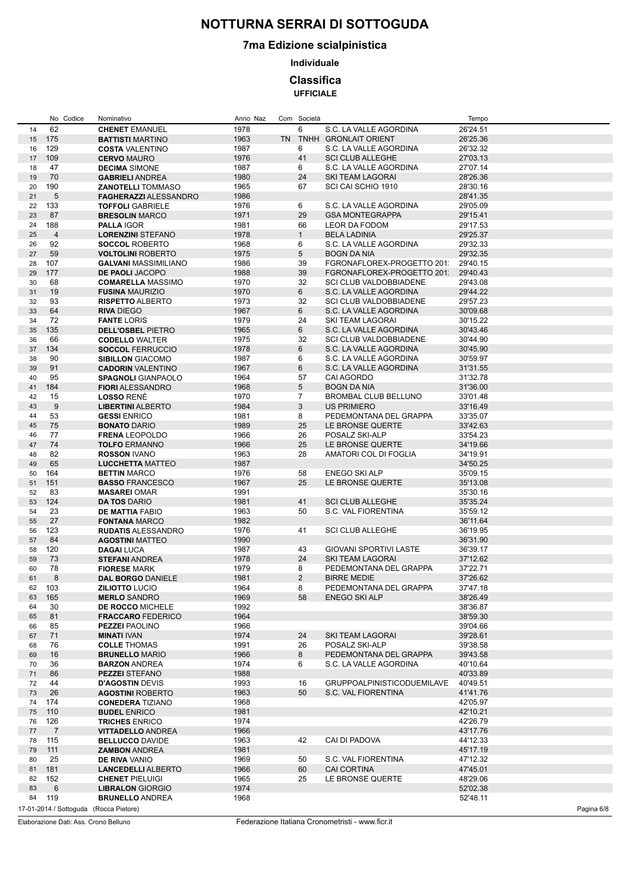### **7ma Edizione scialpinistica**

**Individuale**

**Classifica**

**UFFICIALE**

|          | No Codice                              | Nominativo                                      | Anno Naz | Com Società     |                                   | Tempo      |
|----------|----------------------------------------|-------------------------------------------------|----------|-----------------|-----------------------------------|------------|
| 14       | 62                                     | <b>CHENET EMANUEL</b>                           | 1978     | 6               | S.C. LA VALLE AGORDINA            | 26'24.51   |
| 15       | 175                                    | <b>BATTISTI MARTINO</b>                         | 1963     |                 | TN TNHH GRONLAIT ORIENT           | 26'25.36   |
| 16       | 129                                    | <b>COSTA VALENTINO</b>                          | 1987     | 6               | S.C. LA VALLE AGORDINA            | 26'32.32   |
| 17       | 109                                    | <b>CERVO MAURO</b>                              | 1976     | 41              | <b>SCI CLUB ALLEGHE</b>           | 27'03.13   |
| 18       | 47                                     | <b>DECIMA SIMONE</b>                            | 1987     | 6               | S.C. LA VALLE AGORDINA            | 27'07.14   |
| 19       | 70                                     | <b>GABRIELI ANDREA</b>                          | 1980     | 24              | SKI TEAM LAGORAI                  | 28'26.36   |
| 20       | 190                                    | <b>ZANOTELLI TOMMASO</b>                        | 1965     | 67              | SCI CAI SCHIO 1910                | 28'30.16   |
| 21       | 5                                      | <b>FAGHERAZZI ALESSANDRO</b>                    | 1986     |                 |                                   | 28'41.35   |
| 22       | 133                                    | <b>TOFFOLI GABRIELE</b>                         | 1976     | 6               | S.C. LA VALLE AGORDINA            | 29'05.09   |
| 23       | 87                                     | <b>BRESOLIN MARCO</b>                           | 1971     | 29              | <b>GSA MONTEGRAPPA</b>            | 29'15.41   |
| 24       | 188                                    | <b>PALLA IGOR</b>                               | 1981     | 66              | LEOR DA FODOM                     | 29'17.53   |
| 25       | $\overline{4}$                         | <b>LORENZINI STEFANO</b>                        | 1978     | $\mathbf{1}$    | <b>BELA LADINIA</b>               | 29'25.37   |
| 26       | 92                                     | <b>SOCCOL ROBERTO</b>                           | 1968     | 6               | S.C. LA VALLE AGORDINA            | 29'32.33   |
| 27       | 59                                     | <b>VOLTOLINI ROBERTO</b>                        | 1975     | 5               | <b>BOGN DA NIA</b>                | 29'32.35   |
| 28       | 107                                    | <b>GALVANI MASSIMILIANO</b>                     | 1986     | 39              | FGRONAFLOREX-PROGETTO 201:        | 29'40.15   |
| 29       | 177                                    | DE PAOLI JACOPO                                 | 1988     | 39              | FGRONAFLOREX-PROGETTO 201         | 29'40.43   |
| 30       | 68                                     | <b>COMARELLA MASSIMO</b>                        | 1970     | 32              | SCI CLUB VALDOBBIADENE            | 29'43.08   |
| 31       | 19                                     | <b>FUSINA MAURIZIO</b>                          | 1970     | $6\overline{6}$ | S.C. LA VALLE AGORDINA            | 29'44.22   |
|          | 93                                     | <b>RISPETTO ALBERTO</b>                         |          | 32              | SCI CLUB VALDOBBIADENE            |            |
| 32       | 64                                     |                                                 | 1973     | 6               |                                   | 29'57.23   |
| 33       |                                        | <b>RIVA DIEGO</b>                               | 1967     |                 | S.C. LA VALLE AGORDINA            | 30'09.68   |
| 34       | 72                                     | <b>FANTE LORIS</b>                              | 1979     | 24              | SKI TEAM LAGORAI                  | 30'15.22   |
| 35       | 135                                    | <b>DELL'OSBEL PIETRO</b>                        | 1965     | 6               | S.C. LA VALLE AGORDINA            | 30'43.46   |
| 36       | 66                                     | <b>CODELLO WALTER</b>                           | 1975     | 32              | <b>SCI CLUB VALDOBBIADENE</b>     | 30'44.90   |
| 37       | 134                                    | <b>SOCCOL FERRUCCIO</b>                         | 1978     | 6               | S.C. LA VALLE AGORDINA            | 30'45.90   |
| 38       | 90                                     | <b>SIBILLON GIACOMO</b>                         | 1987     | 6               | S.C. LA VALLE AGORDINA            | 30'59.97   |
| 39       | 91                                     | <b>CADORIN VALENTINO</b>                        | 1967     | 6               | S.C. LA VALLE AGORDINA            | 31'31.55   |
| 40       | 95                                     | <b>SPAGNOLI GIANPAOLO</b>                       | 1964     | 57              | CAI AGORDO                        | 31'32.78   |
| 41       | 184                                    | <b>FIORI ALESSANDRO</b>                         | 1968     | 5               | <b>BOGN DA NIA</b>                | 31'36.00   |
| 42       | 15                                     | <b>LOSSO RENÉ</b>                               | 1970     | $\overline{7}$  | <b>BROMBAL CLUB BELLUNO</b>       | 33'01.48   |
| 43       | 9                                      | <b>LIBERTINI ALBERTO</b>                        | 1984     | 3               | <b>US PRIMIERO</b>                | 33'16.49   |
| 44       | 53                                     | <b>GESSI ENRICO</b>                             | 1981     | 8               | PEDEMONTANA DEL GRAPPA            | 33'35.07   |
| 45       | 75                                     | <b>BONATO DARIO</b>                             | 1989     | 25              | LE BRONSE QUERTE                  | 33'42.63   |
| 46       | 77                                     | <b>FRENA LEOPOLDO</b>                           | 1966     | 26              | POSALZ SKI-ALP                    | 33'54.23   |
| 47       | 74                                     | <b>TOLFO ERMANNO</b>                            | 1966     | 25              | LE BRONSE QUERTE                  | 34'19.66   |
| 48       | 82                                     | <b>ROSSON IVANO</b>                             | 1963     | 28              | AMATORI COL DI FOGLIA             | 34'19.91   |
| 49       | 65                                     | <b>LUCCHETTA MATTEO</b>                         | 1987     |                 |                                   | 34'50.25   |
| 50       | 164                                    | <b>BETTIN MARCO</b>                             | 1976     | 58              | <b>ENEGO SKI ALP</b>              | 35'09.15   |
| 51       | 151                                    | <b>BASSO FRANCESCO</b>                          | 1967     | 25              | LE BRONSE QUERTE                  | 35'13.08   |
| 52       | 83                                     | <b>MASAREI OMAR</b>                             | 1991     |                 |                                   | 35'30.16   |
| 53       | 124                                    | <b>DA TOS DARIO</b>                             | 1981     | 41              | <b>SCI CLUB ALLEGHE</b>           | 35'35.24   |
| 54       | 23                                     | <b>DE MATTIA FABIO</b>                          | 1963     | 50              | S.C. VAL FIORENTINA               | 35'59.12   |
| 55       | 27                                     | <b>FONTANA MARCO</b>                            | 1982     |                 |                                   | 36'11.64   |
| 56       | 123                                    | <b>RUDATIS ALESSANDRO</b>                       | 1976     | 41              | <b>SCI CLUB ALLEGHE</b>           | 36'19.95   |
| 57       | 84                                     | <b>AGOSTINI MATTEO</b>                          | 1990     |                 |                                   | 36'31.90   |
| 58       | 120                                    | <b>DAGAILUCA</b>                                | 1987     | 43              | <b>GIOVANI SPORTIVI LASTE</b>     | 36'39.17   |
| 59       | 73                                     | <b>STEFANI ANDREA</b>                           | 1978     | 24              | <b>SKI TEAM LAGORAI</b>           | 37'12.62   |
| 60       | 78                                     | <b>FIORESE MARK</b>                             | 1979     | 8               | PEDEMONTANA DEL GRAPPA            | 37'22.71   |
| 61       | 8                                      | <b>DAL BORGO DANIELE</b>                        | 1981     | $\overline{2}$  | <b>BIRRE MEDIE</b>                | 37'26.62   |
| 62       | 103                                    | <b>ZILIOTTO LUCIO</b>                           | 1964     | 8               | PEDEMONTANA DEL GRAPPA            | 37'47.18   |
| 63       | 165                                    | <b>MERLO SANDRO</b>                             | 1969     | 58              | <b>ENEGO SKI ALP</b>              | 38'26.49   |
| 64       | 30                                     | <b>DE ROCCO MICHELE</b>                         | 1992     |                 |                                   | 38'36.87   |
| 65       | 81                                     | <b>FRACCARO FEDERICO</b>                        | 1964     |                 |                                   | 38'59.30   |
| 66       | 85                                     | <b>PEZZEI PAOLINO</b>                           | 1966     |                 |                                   | 39'04.66   |
| 67       | 71                                     | <b>MINATI IVAN</b>                              | 1974     | 24              | <b>SKI TEAM LAGORAI</b>           | 39'28.61   |
| 68       | 76                                     | <b>COLLE THOMAS</b>                             | 1991     | 26              | POSALZ SKI-ALP                    | 39'38.58   |
| 69       | 16                                     | <b>BRUNELLO MARIO</b>                           | 1966     | 8               | PEDEMONTANA DEL GRAPPA            | 39'43.58   |
| 70       | 36                                     | <b>BARZON ANDREA</b>                            | 1974     | 6               | S.C. LA VALLE AGORDINA            | 40'10.64   |
| 71       | 86                                     |                                                 | 1988     |                 |                                   | 40'33.89   |
| 72       | 44                                     | <b>PEZZEI STEFANO</b><br><b>D'AGOSTIN DEVIS</b> | 1993     | 16              | <b>GRUPPOALPINISTICODUEMILAVE</b> | 40'49.51   |
|          | 26                                     |                                                 |          | 50              |                                   |            |
| 73<br>74 |                                        | <b>AGOSTINI ROBERTO</b>                         | 1963     |                 | S.C. VAL FIORENTINA               | 41'41.76   |
|          | 174                                    | <b>CONEDERA TIZIANO</b>                         | 1968     |                 |                                   | 42'05.97   |
| 75       | 110                                    | <b>BUDEL ENRICO</b>                             | 1981     |                 |                                   | 42'10.21   |
| 76       | 126                                    | <b>TRICHES ENRICO</b>                           | 1974     |                 |                                   | 42'26.79   |
| 77       | $\overline{7}$                         | <b>VITTADELLO ANDREA</b>                        | 1966     |                 |                                   | 43'17.76   |
| 78       | 115                                    | <b>BELLUCCO DAVIDE</b>                          | 1963     | 42              | CAI DI PADOVA                     | 44'12.33   |
| 79       | 111                                    | <b>ZAMBON ANDREA</b>                            | 1981     |                 |                                   | 45'17.19   |
| 80       | 25                                     | <b>DE RIVA VANIO</b>                            | 1969     | 50              | S.C. VAL FIORENTINA               | 47'12.32   |
| 81       | 181                                    | <b>LANCEDELLI ALBERTO</b>                       | 1966     | 60              | <b>CAI CORTINA</b>                | 47'45.01   |
| 82       | 152                                    | <b>CHENET PIELUIGI</b>                          | 1965     | 25              | LE BRONSE QUERTE                  | 48'29.06   |
| 83       | 6                                      | <b>LIBRALON GIORGIO</b>                         | 1974     |                 |                                   | 52'02.38   |
| 84       | 119                                    | <b>BRUNELLO ANDREA</b>                          | 1968     |                 |                                   | 52'48.11   |
|          | 17-01-2014 / Sottoguda (Rocca Pietore) |                                                 |          |                 |                                   | Pagina 6/8 |

Elaborazione Dati: Ass. Crono Belluno

Federazione Italiana Cronometristi - www.ficr.it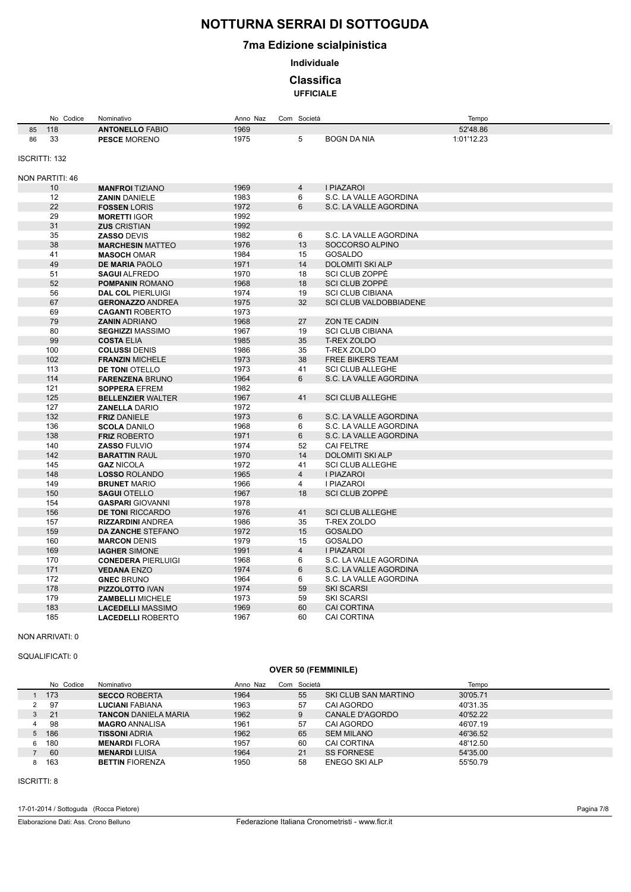### **7ma Edizione scialpinistica**

**Individuale**

### **Classifica**

**UFFICIALE**

|                      | No Codice       | Nominativo                                 | Anno Naz     | Com Società     |                         | Tempo      |
|----------------------|-----------------|--------------------------------------------|--------------|-----------------|-------------------------|------------|
| 85                   | 118             | <b>ANTONELLO FABIO</b>                     | 1969         |                 |                         | 52'48.86   |
| 86                   | 33              | <b>PESCE MORENO</b>                        | 1975         | 5               | <b>BOGN DA NIA</b>      | 1:01'12.23 |
|                      |                 |                                            |              |                 |                         |            |
| <b>ISCRITTI: 132</b> |                 |                                            |              |                 |                         |            |
|                      |                 |                                            |              |                 |                         |            |
|                      | NON PARTITI: 46 |                                            |              |                 |                         |            |
|                      | 10              | <b>MANFROI TIZIANO</b>                     | 1969         | $\overline{4}$  | I PIAZAROI              |            |
|                      | 12              | <b>ZANIN DANIELE</b>                       | 1983         | 6               | S.C. LA VALLE AGORDINA  |            |
|                      | 22              | <b>FOSSEN LORIS</b>                        | 1972         | 6               | S.C. LA VALLE AGORDINA  |            |
|                      | 29              | <b>MORETTI IGOR</b>                        | 1992         |                 |                         |            |
|                      | 31              | <b>ZUS CRISTIAN</b>                        | 1992         |                 |                         |            |
|                      | 35              | <b>ZASSO DEVIS</b>                         | 1982         | 6               | S.C. LA VALLE AGORDINA  |            |
|                      | 38              | <b>MARCHESIN MATTEO</b>                    | 1976         | 13              | SOCCORSO ALPINO         |            |
|                      | 41              | <b>MASOCH OMAR</b>                         | 1984         | 15              | GOSALDO                 |            |
|                      | 49              | <b>DE MARIA PAOLO</b>                      | 1971         | 14              | <b>DOLOMITI SKI ALP</b> |            |
|                      | 51              | <b>SAGUI ALFREDO</b>                       | 1970         | 18              | SCI CLUB ZOPPÈ          |            |
|                      | 52              | <b>POMPANIN ROMANO</b>                     | 1968         | 18              | SCI CLUB ZOPPÈ          |            |
|                      | 56              | <b>DAL COL PIERLUIGI</b>                   | 1974         | 19              | <b>SCI CLUB CIBIANA</b> |            |
|                      | 67              | <b>GERONAZZO ANDREA</b>                    | 1975         | 32              | SCI CLUB VALDOBBIADENE  |            |
|                      | 69              | <b>CAGANTI ROBERTO</b>                     | 1973         |                 |                         |            |
|                      | 79              | <b>ZANIN ADRIANO</b>                       | 1968         | 27              | <b>ZON TE CADIN</b>     |            |
|                      | 80              | <b>SEGHIZZI MASSIMO</b>                    | 1967         | 19              | <b>SCI CLUB CIBIANA</b> |            |
|                      | 99              | <b>COSTA ELIA</b>                          | 1985         | 35              | <b>T-REX ZOLDO</b>      |            |
|                      | 100             | <b>COLUSSI DENIS</b>                       | 1986         | 35              | <b>T-REX ZOLDO</b>      |            |
|                      | 102             | <b>FRANZIN MICHELE</b>                     | 1973         | 38              | <b>FREE BIKERS TEAM</b> |            |
|                      | 113             | <b>DE TONI OTELLO</b>                      | 1973         | 41              | <b>SCI CLUB ALLEGHE</b> |            |
|                      | 114             | <b>FARENZENA BRUNO</b>                     | 1964         | 6               | S.C. LA VALLE AGORDINA  |            |
|                      | 121<br>125      | <b>SOPPERA EFREM</b>                       | 1982         | 41              | <b>SCI CLUB ALLEGHE</b> |            |
|                      | 127             | <b>BELLENZIER WALTER</b>                   | 1967<br>1972 |                 |                         |            |
|                      | 132             | <b>ZANELLA DARIO</b>                       | 1973         | $6\phantom{1}6$ | S.C. LA VALLE AGORDINA  |            |
|                      | 136             | <b>FRIZ DANIELE</b><br><b>SCOLA DANILO</b> | 1968         | 6               | S.C. LA VALLE AGORDINA  |            |
|                      | 138             | <b>FRIZ ROBERTO</b>                        | 1971         | 6               | S.C. LA VALLE AGORDINA  |            |
|                      | 140             | <b>ZASSO FULVIO</b>                        | 1974         | 52              | <b>CAI FELTRE</b>       |            |
|                      | 142             | <b>BARATTIN RAUL</b>                       | 1970         | 14              | <b>DOLOMITI SKI ALP</b> |            |
|                      | 145             | <b>GAZ NICOLA</b>                          | 1972         | 41              | <b>SCI CLUB ALLEGHE</b> |            |
|                      | 148             | <b>LOSSO ROLANDO</b>                       | 1965         | $\overline{4}$  | <b>I PIAZAROI</b>       |            |
|                      | 149             | <b>BRUNET MARIO</b>                        | 1966         | $\overline{4}$  | <b>I PIAZAROI</b>       |            |
|                      | 150             | <b>SAGUI OTELLO</b>                        | 1967         | 18              | SCI CLUB ZOPPÈ          |            |
|                      | 154             | <b>GASPARI GIOVANNI</b>                    | 1978         |                 |                         |            |
|                      | 156             | <b>DE TONI RICCARDO</b>                    | 1976         | 41              | <b>SCI CLUB ALLEGHE</b> |            |
|                      | 157             | <b>RIZZARDINI ANDREA</b>                   | 1986         | 35              | T-REX ZOLDO             |            |
|                      | 159             | <b>DA ZANCHE STEFANO</b>                   | 1972         | 15              | <b>GOSALDO</b>          |            |
|                      | 160             | <b>MARCON DENIS</b>                        | 1979         | 15              | GOSALDO                 |            |
|                      | 169             | <b>IAGHER SIMONE</b>                       | 1991         | 4               | <b>I PIAZAROI</b>       |            |
|                      | 170             | <b>CONEDERA PIERLUIGI</b>                  | 1968         | 6               | S.C. LA VALLE AGORDINA  |            |
|                      | 171             | <b>VEDANA ENZO</b>                         | 1974         | 6               | S.C. LA VALLE AGORDINA  |            |
|                      | 172             | <b>GNEC BRUNO</b>                          | 1964         | 6               | S.C. LA VALLE AGORDINA  |            |
|                      | 178             | <b>PIZZOLOTTO IVAN</b>                     | 1974         | 59              | <b>SKI SCARSI</b>       |            |
|                      | 179             | <b>ZAMBELLI MICHELE</b>                    | 1973         | 59              | <b>SKI SCARSI</b>       |            |
|                      | 183             | <b>LACEDELLI MASSIMO</b>                   | 1969         | 60              | <b>CAI CORTINA</b>      |            |
|                      | 185             | <b>LACEDELLI ROBERTO</b>                   | 1967         | 60              | <b>CAI CORTINA</b>      |            |
|                      |                 |                                            |              |                 |                         |            |

#### NON ARRIVATI: 0

#### SQUALIFICATI: 0

### **OVER 50 (FEMMINILE)**

| No Codice | Nominativo                  | Anno Naz | Com | Società |                        | Tempo    |
|-----------|-----------------------------|----------|-----|---------|------------------------|----------|
| 173       | <b>SECCO ROBERTA</b>        | 1964     |     | 55      | SKI CLUB SAN MARTINO   | 30'05.71 |
| 97        | LUCIANI FABIANA             | 1963     |     | 57      | CAI AGORDO             | 40'31.35 |
| 21        | <b>TANCON DANIELA MARIA</b> | 1962     |     | 9       | <b>CANALE D'AGORDO</b> | 40'52.22 |
| 98        | <b>MAGRO ANNALISA</b>       | 1961     |     | 57      | <b>CAI AGORDO</b>      | 46'07.19 |
| 186       | <b>TISSONI ADRIA</b>        | 1962     |     | 65      | <b>SEM MILANO</b>      | 46'36.52 |
| 180       | <b>MENARDI FLORA</b>        | 1957     |     | 60      | <b>CAI CORTINA</b>     | 48'12.50 |
| 60        | <b>MENARDILUISA</b>         | 1964     |     | 21      | <b>SS FORNESE</b>      | 54'35.00 |
| 163       | <b>BETTIN FIORENZA</b>      | 1950     |     | 58      | ENEGO SKI ALP          | 55'50.79 |

ISCRITTI: 8

17-01-2014 / Sottoguda (Rocca Pietore)

Elaborazione Dati: Ass. Crono Belluno